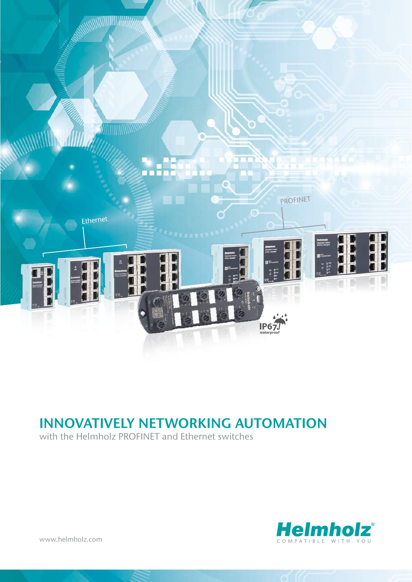

# INNOVATIVELY NETWORKING AUTOMATION

with the Helmholz PROFINET and Ethernet switches



[www.helmholz.com](http://www.helmholz.de)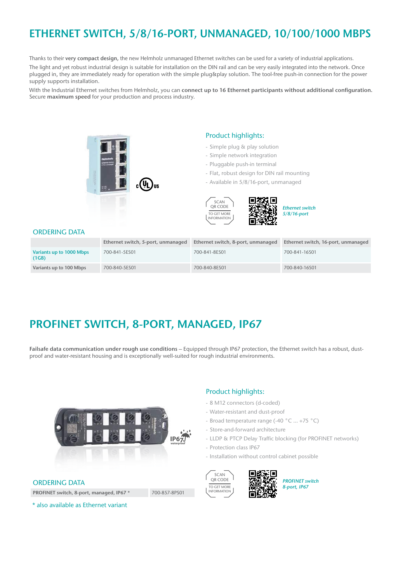# ETHERNET SWITCH, 5/8/16-PORT, UNMANAGED, 10/100/1000 MBPS

Thanks to their very compact design, the new Helmholz unmanaged Ethernet switches can be used for a variety of industrial applications. The light and yet robust industrial design is suitable for installation on the DIN rail and can be very easily integrated into the network. Once plugged in, they are immediately ready for operation with the simple plug&play solution. The tool-free push-in connection for the power supply supports installation.

With the Industrial Ethernet switches from Helmholz, you can connect up to 16 Ethernet participants without additional configuration. Secure maximum speed for your production and process industry.



#### Product highlights:

- Simple plug & play solution
- Simple network integration
- Pluggable push-in terminal
- Flat, robust design for DIN rail mounting

眉

- Available in 5/8/16-port, unmanaged



*Ethernet switch 5/8/16-port*

#### ORDERING DATA

|                                   | Ethernet switch, 5-port, unmanaged | Ethernet switch, 8-port, unmanaged | Ethernet switch, 16-port, unmanaged |
|-----------------------------------|------------------------------------|------------------------------------|-------------------------------------|
| Variants up to 1000 Mbps<br>(1GB) | 700-841-5ES01                      | 700-841-8ES01                      | 700-841-16S01                       |
| Variants up to 100 Mbps           | 700-840-5ES01                      | 700-840-8ES01                      | 700-840-16S01                       |

### PROFINET SWITCH, 8-PORT, MANAGED, IP67

Failsafe data communication under rough use conditions – Equipped through IP67 protection, the Ethernet switch has a robust, dustproof and water-resistant housing and is exceptionally well-suited for rough industrial environments.



#### ORDERING DATA

PROFINET switch, 8-port, managed, IP67 \* 700-857-8PS01 \* also available as Ethernet variant

### - 8 M12 connectors (d-coded) - Water-resistant and dust-proof

Product highlights:

- Broad temperature range (-40 °C … +75 °C)
- Store-and-forward architecture
- LLDP & PTCP Delay Traffic blocking (for PROFINET networks)
- Protection class IP67
- Installation without control cabinet possible



*PROFINET switch 8-port, IP67*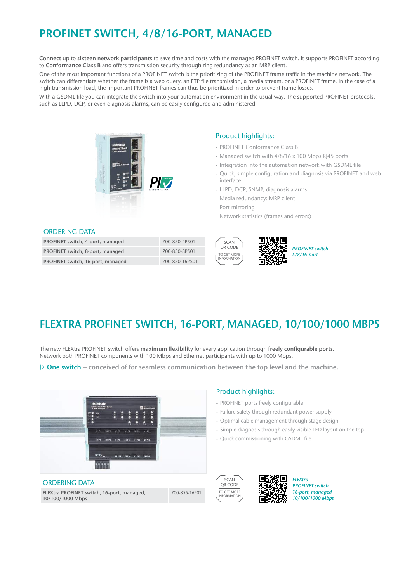## PROFINET SWITCH, 4/8/16-PORT, MANAGED

Connect up to sixteen network participants to save time and costs with the managed PROFINET switch. It supports PROFINET according to Conformance Class B and offers transmission security through ring redundancy as an MRP client.

One of the most important functions of a PROFINET switch is the prioritizing of the PROFINET frame traffic in the machine network. The switch can differentiate whether the frame is a web query, an FTP file transmission, a media stream, or a PROFINET frame. In the case of a high transmission load, the important PROFINET frames can thus be prioritized in order to prevent frame losses.

With a GSDML file you can integrate the switch into your automation environment in the usual way. The supported PROFINET protocols, such as LLPD, DCP, or even diagnosis alarms, can be easily configured and administered.



### Product highlights:

- PROFINET Conformance Class B
- Managed switch with 4/8/16 x 100 Mbps RJ45 ports
- Integration into the automation network with GSDML file
- Quick, simple configuration and diagnosis via PROFINET and web interface
- LLPD, DCP, SNMP, diagnosis alarms
- Media redundancy: MRP client
- Port mirroring
- Network statistics (frames and errors)

#### ORDERING DATA

| PROFINET switch, 4-port, managed  | 700-850-4PS01  |
|-----------------------------------|----------------|
| PROFINET switch, 8-port, managed  | 700-850-8PS01  |
| PROFINET switch, 16-port, managed | 700-850-16PS01 |





## FLEXTRA PROFINET SWITCH, 16-PORT, MANAGED, 10/100/1000 MBPS

The new FLEXtra PROFINET switch offers maximum flexibility for every application through freely configurable ports. Network both PROFINET components with 100 Mbps and Ethernet participants with up to 1000 Mbps.

 $\triangleright$  One switch – conceived of for seamless communication between the top level and the machine.



### ORDERING DATA

FLEXtra PROFINET switch, 16-port, managed, 10/100/1000 Mbps

700-855-16P01

### - Failure safety through redundant power supply

Product highlights:

- Optimal cable management through stage design
- Simple diagnosis through easily visible LED layout on the top
- Quick commissioning with GSDML file

- PROFINET ports freely configurable



*FLEXtra PROFINET switch 16-port, managed 10/100/1000 Mbps*